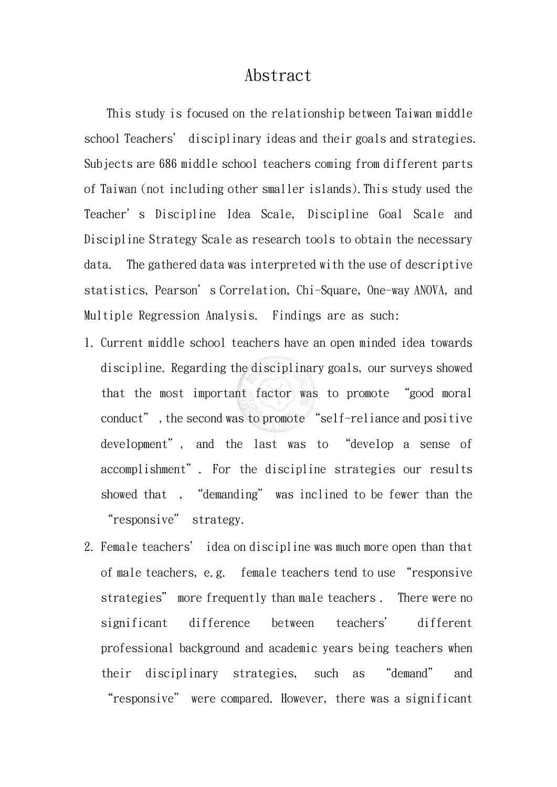## Abstract

 This study is focused on the relationship between Taiwan middle school Teachers' disciplinary ideas and their goals and strategies. Subjects are 686 middle school teachers coming from different parts of Taiwan (not including other smaller islands).This study used the Teacher's Discipline Idea Scale, Discipline Goal Scale and Discipline Strategy Scale as research tools to obtain the necessary data. The gathered data was interpreted with the use of descriptive statistics, Pearson's Correlation, Chi-Square, One-way ANOVA, and Multiple Regression Analysis. Findings are as such:

- 1. Current middle school teachers have an open minded idea towards discipline. Regarding the disciplinary goals, our surveys showed that the most important factor was to promote "good moral conduct", the second was to promote "self-reliance and positive development", and the last was to "develop a sense of accomplishment". For the discipline strategies our results showed that , "demanding" was inclined to be fewer than the "responsive" strategy.
- 2. Female teachers' idea on discipline was much more open than that of male teachers, e.g. female teachers tend to use "responsive strategies" more frequently than male teachers . There were no significant difference between teachers' different professional background and academic years being teachers when their disciplinary strategies, such as "demand" and "responsive" were compared. However, there was a significant